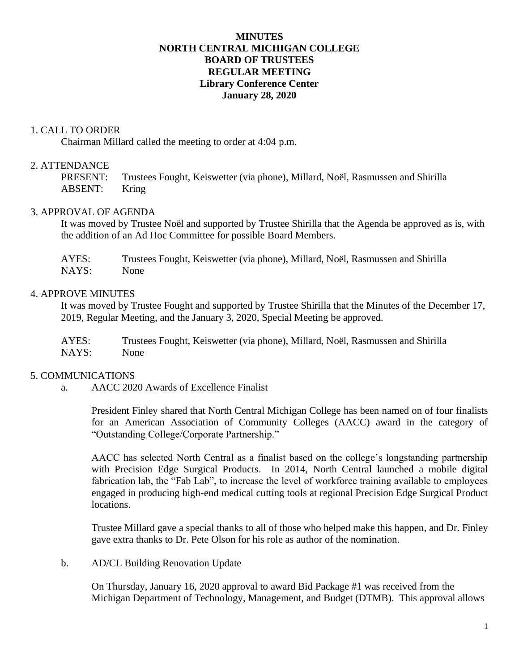# **MINUTES NORTH CENTRAL MICHIGAN COLLEGE BOARD OF TRUSTEES REGULAR MEETING Library Conference Center January 28, 2020**

## 1. CALL TO ORDER

Chairman Millard called the meeting to order at 4:04 p.m.

# 2. ATTENDANCE

PRESENT: Trustees Fought, Keiswetter (via phone), Millard, Noël, Rasmussen and Shirilla ABSENT: Kring

## 3. APPROVAL OF AGENDA

It was moved by Trustee Noël and supported by Trustee Shirilla that the Agenda be approved as is, with the addition of an Ad Hoc Committee for possible Board Members.

AYES: Trustees Fought, Keiswetter (via phone), Millard, Noël, Rasmussen and Shirilla NAYS: None

## 4. APPROVE MINUTES

It was moved by Trustee Fought and supported by Trustee Shirilla that the Minutes of the December 17, 2019, Regular Meeting, and the January 3, 2020, Special Meeting be approved.

AYES: Trustees Fought, Keiswetter (via phone), Millard, Noël, Rasmussen and Shirilla NAYS: None

## 5. COMMUNICATIONS

a. AACC 2020 Awards of Excellence Finalist

President Finley shared that North Central Michigan College has been named on of four finalists for an American Association of Community Colleges (AACC) award in the category of "Outstanding College/Corporate Partnership."

AACC has selected North Central as a finalist based on the college's longstanding partnership with Precision Edge Surgical Products. In 2014, North Central launched a mobile digital fabrication lab, the "Fab Lab", to increase the level of workforce training available to employees engaged in producing high-end medical cutting tools at regional Precision Edge Surgical Product locations.

Trustee Millard gave a special thanks to all of those who helped make this happen, and Dr. Finley gave extra thanks to Dr. Pete Olson for his role as author of the nomination.

## b. AD/CL Building Renovation Update

On Thursday, January 16, 2020 approval to award Bid Package #1 was received from the Michigan Department of Technology, Management, and Budget (DTMB). This approval allows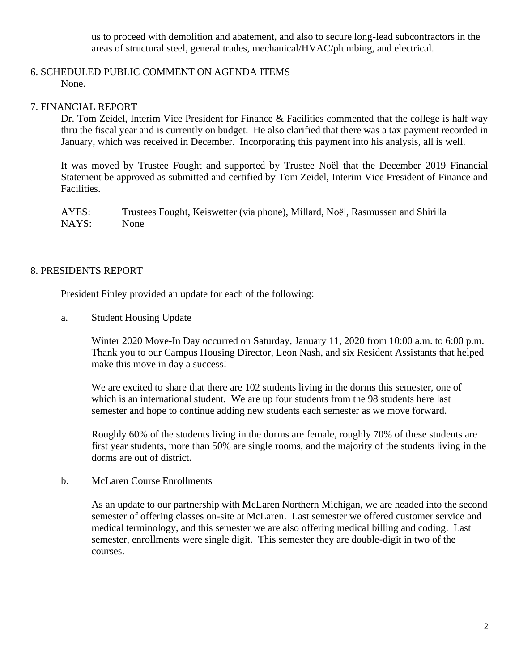us to proceed with demolition and abatement, and also to secure long-lead subcontractors in the areas of structural steel, general trades, mechanical/HVAC/plumbing, and electrical.

## 6. SCHEDULED PUBLIC COMMENT ON AGENDA ITEMS None.

# 7. FINANCIAL REPORT

Dr. Tom Zeidel, Interim Vice President for Finance & Facilities commented that the college is half way thru the fiscal year and is currently on budget. He also clarified that there was a tax payment recorded in January, which was received in December. Incorporating this payment into his analysis, all is well.

It was moved by Trustee Fought and supported by Trustee Noël that the December 2019 Financial Statement be approved as submitted and certified by Tom Zeidel, Interim Vice President of Finance and Facilities.

AYES: Trustees Fought, Keiswetter (via phone), Millard, Noël, Rasmussen and Shirilla NAYS: None

## 8. PRESIDENTS REPORT

President Finley provided an update for each of the following:

a. Student Housing Update

Winter 2020 Move-In Day occurred on Saturday, January 11, 2020 from 10:00 a.m. to 6:00 p.m. Thank you to our Campus Housing Director, Leon Nash, and six Resident Assistants that helped make this move in day a success!

We are excited to share that there are 102 students living in the dorms this semester, one of which is an international student. We are up four students from the 98 students here last semester and hope to continue adding new students each semester as we move forward.

Roughly 60% of the students living in the dorms are female, roughly 70% of these students are first year students, more than 50% are single rooms, and the majority of the students living in the dorms are out of district.

b. McLaren Course Enrollments

As an update to our partnership with McLaren Northern Michigan, we are headed into the second semester of offering classes on-site at McLaren. Last semester we offered customer service and medical terminology, and this semester we are also offering medical billing and coding. Last semester, enrollments were single digit. This semester they are double-digit in two of the courses.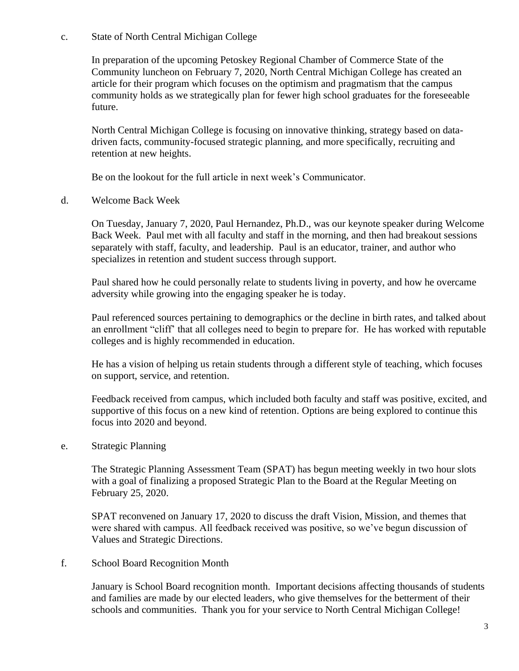## c. State of North Central Michigan College

In preparation of the upcoming Petoskey Regional Chamber of Commerce State of the Community luncheon on February 7, 2020, North Central Michigan College has created an article for their program which focuses on the optimism and pragmatism that the campus community holds as we strategically plan for fewer high school graduates for the foreseeable future.

North Central Michigan College is focusing on innovative thinking, strategy based on datadriven facts, community-focused strategic planning, and more specifically, recruiting and retention at new heights.

Be on the lookout for the full article in next week's Communicator.

d. Welcome Back Week

On Tuesday, January 7, 2020, Paul Hernandez, Ph.D., was our keynote speaker during Welcome Back Week. Paul met with all faculty and staff in the morning, and then had breakout sessions separately with staff, faculty, and leadership. Paul is an educator, trainer, and author who specializes in retention and student success through support.

Paul shared how he could personally relate to students living in poverty, and how he overcame adversity while growing into the engaging speaker he is today.

Paul referenced sources pertaining to demographics or the decline in birth rates, and talked about an enrollment "cliff' that all colleges need to begin to prepare for. He has worked with reputable colleges and is highly recommended in education.

He has a vision of helping us retain students through a different style of teaching, which focuses on support, service, and retention.

Feedback received from campus, which included both faculty and staff was positive, excited, and supportive of this focus on a new kind of retention. Options are being explored to continue this focus into 2020 and beyond.

e. Strategic Planning

The Strategic Planning Assessment Team (SPAT) has begun meeting weekly in two hour slots with a goal of finalizing a proposed Strategic Plan to the Board at the Regular Meeting on February 25, 2020.

SPAT reconvened on January 17, 2020 to discuss the draft Vision, Mission, and themes that were shared with campus. All feedback received was positive, so we've begun discussion of Values and Strategic Directions.

f. School Board Recognition Month

January is School Board recognition month. Important decisions affecting thousands of students and families are made by our elected leaders, who give themselves for the betterment of their schools and communities. Thank you for your service to North Central Michigan College!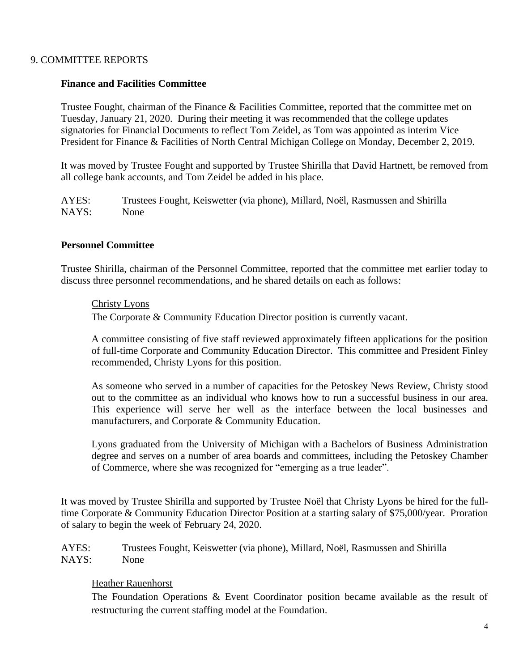## 9. COMMITTEE REPORTS

## **Finance and Facilities Committee**

Trustee Fought, chairman of the Finance & Facilities Committee, reported that the committee met on Tuesday, January 21, 2020. During their meeting it was recommended that the college updates signatories for Financial Documents to reflect Tom Zeidel, as Tom was appointed as interim Vice President for Finance & Facilities of North Central Michigan College on Monday, December 2, 2019.

It was moved by Trustee Fought and supported by Trustee Shirilla that David Hartnett, be removed from all college bank accounts, and Tom Zeidel be added in his place.

AYES: Trustees Fought, Keiswetter (via phone), Millard, Noël, Rasmussen and Shirilla NAYS: None

#### **Personnel Committee**

Trustee Shirilla, chairman of the Personnel Committee, reported that the committee met earlier today to discuss three personnel recommendations, and he shared details on each as follows:

#### Christy Lyons

The Corporate & Community Education Director position is currently vacant.

A committee consisting of five staff reviewed approximately fifteen applications for the position of full-time Corporate and Community Education Director. This committee and President Finley recommended, Christy Lyons for this position.

As someone who served in a number of capacities for the Petoskey News Review, Christy stood out to the committee as an individual who knows how to run a successful business in our area. This experience will serve her well as the interface between the local businesses and manufacturers, and Corporate & Community Education.

Lyons graduated from the University of Michigan with a Bachelors of Business Administration degree and serves on a number of area boards and committees, including the Petoskey Chamber of Commerce, where she was recognized for "emerging as a true leader".

It was moved by Trustee Shirilla and supported by Trustee Noël that Christy Lyons be hired for the fulltime Corporate & Community Education Director Position at a starting salary of \$75,000/year. Proration of salary to begin the week of February 24, 2020.

AYES: Trustees Fought, Keiswetter (via phone), Millard, Noël, Rasmussen and Shirilla NAYS: None

## Heather Rauenhorst

The Foundation Operations & Event Coordinator position became available as the result of restructuring the current staffing model at the Foundation.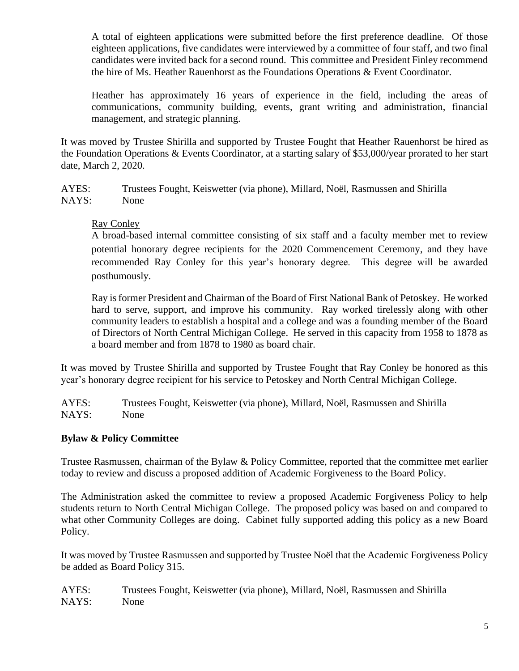A total of eighteen applications were submitted before the first preference deadline. Of those eighteen applications, five candidates were interviewed by a committee of four staff, and two final candidates were invited back for a second round. This committee and President Finley recommend the hire of Ms. Heather Rauenhorst as the Foundations Operations & Event Coordinator.

Heather has approximately 16 years of experience in the field, including the areas of communications, community building, events, grant writing and administration, financial management, and strategic planning.

It was moved by Trustee Shirilla and supported by Trustee Fought that Heather Rauenhorst be hired as the Foundation Operations & Events Coordinator, at a starting salary of \$53,000/year prorated to her start date, March 2, 2020.

AYES: Trustees Fought, Keiswetter (via phone), Millard, Noël, Rasmussen and Shirilla NAYS: None

# Ray Conley

A broad-based internal committee consisting of six staff and a faculty member met to review potential honorary degree recipients for the 2020 Commencement Ceremony, and they have recommended Ray Conley for this year's honorary degree. This degree will be awarded posthumously.

Ray is former President and Chairman of the Board of First National Bank of Petoskey. He worked hard to serve, support, and improve his community. Ray worked tirelessly along with other community leaders to establish a hospital and a college and was a founding member of the Board of Directors of North Central Michigan College. He served in this capacity from 1958 to 1878 as a board member and from 1878 to 1980 as board chair.

It was moved by Trustee Shirilla and supported by Trustee Fought that Ray Conley be honored as this year's honorary degree recipient for his service to Petoskey and North Central Michigan College.

AYES: Trustees Fought, Keiswetter (via phone), Millard, Noël, Rasmussen and Shirilla NAYS: None

# **Bylaw & Policy Committee**

Trustee Rasmussen, chairman of the Bylaw & Policy Committee, reported that the committee met earlier today to review and discuss a proposed addition of Academic Forgiveness to the Board Policy.

The Administration asked the committee to review a proposed Academic Forgiveness Policy to help students return to North Central Michigan College. The proposed policy was based on and compared to what other Community Colleges are doing. Cabinet fully supported adding this policy as a new Board Policy.

It was moved by Trustee Rasmussen and supported by Trustee Noël that the Academic Forgiveness Policy be added as Board Policy 315.

AYES: Trustees Fought, Keiswetter (via phone), Millard, Noël, Rasmussen and Shirilla NAYS: None